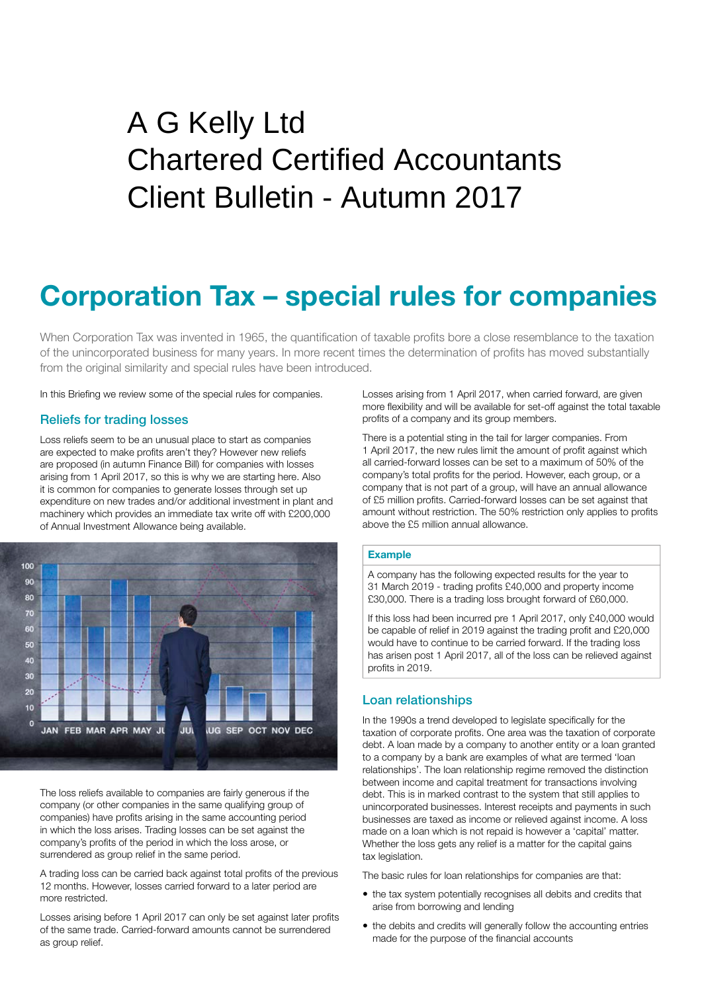# Client Bulletin - Autumn 2017 A G Kelly Ltd Chartered Certified Accountants

## **Corporation Tax – special rules for companies**

When Corporation Tax was invented in 1965, the quantification of taxable profits bore a close resemblance to the taxation of the unincorporated business for many years. In more recent times the determination of profits has moved substantially from the original similarity and special rules have been introduced.

In this Briefing we review some of the special rules for companies.

## Reliefs for trading losses

Loss reliefs seem to be an unusual place to start as companies are expected to make profits aren't they? However new reliefs are proposed (in autumn Finance Bill) for companies with losses arising from 1 April 2017, so this is why we are starting here. Also it is common for companies to generate losses through set up expenditure on new trades and/or additional investment in plant and machinery which provides an immediate tax write off with £200,000 of Annual Investment Allowance being available.



The loss reliefs available to companies are fairly generous if the company (or other companies in the same qualifying group of companies) have profits arising in the same accounting period in which the loss arises. Trading losses can be set against the company's profits of the period in which the loss arose, or surrendered as group relief in the same period.

A trading loss can be carried back against total profits of the previous 12 months. However, losses carried forward to a later period are more restricted.

Losses arising before 1 April 2017 can only be set against later profits of the same trade. Carried-forward amounts cannot be surrendered as group relief.

Losses arising from 1 April 2017, when carried forward, are given more flexibility and will be available for set-off against the total taxable profits of a company and its group members.

There is a potential sting in the tail for larger companies. From 1 April 2017, the new rules limit the amount of profit against which all carried-forward losses can be set to a maximum of 50% of the company's total profits for the period. However, each group, or a company that is not part of a group, will have an annual allowance of £5 million profits. Carried-forward losses can be set against that amount without restriction. The 50% restriction only applies to profits above the £5 million annual allowance.

#### **Example**

A company has the following expected results for the year to 31 March 2019 - trading profits £40,000 and property income £30,000. There is a trading loss brought forward of £60,000.

If this loss had been incurred pre 1 April 2017, only £40,000 would be capable of relief in 2019 against the trading profit and £20,000 would have to continue to be carried forward. If the trading loss has arisen post 1 April 2017, all of the loss can be relieved against profits in 2019.

## Loan relationships

In the 1990s a trend developed to legislate specifically for the taxation of corporate profits. One area was the taxation of corporate debt. A loan made by a company to another entity or a loan granted to a company by a bank are examples of what are termed 'loan relationships'. The loan relationship regime removed the distinction between income and capital treatment for transactions involving debt. This is in marked contrast to the system that still applies to unincorporated businesses. Interest receipts and payments in such businesses are taxed as income or relieved against income. A loss made on a loan which is not repaid is however a 'capital' matter. Whether the loss gets any relief is a matter for the capital gains tax legislation.

The basic rules for loan relationships for companies are that:

- the tax system potentially recognises all debits and credits that arise from borrowing and lending
- the debits and credits will generally follow the accounting entries made for the purpose of the financial accounts